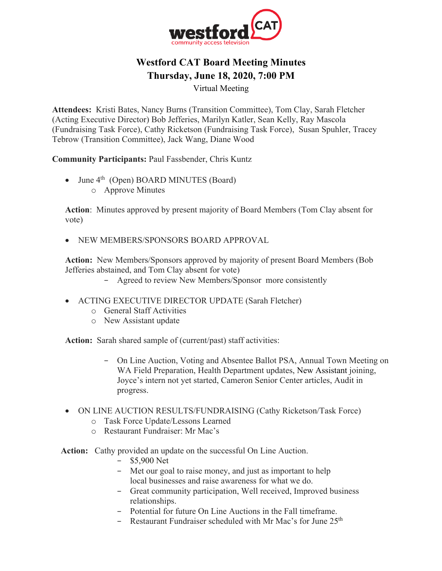

# **Westford CAT Board Meeting Minutes Thursday, June 18, 2020, 7:00 PM**

Virtual Meeting

**Attendees:** Kristi Bates, Nancy Burns (Transition Committee), Tom Clay, Sarah Fletcher (Acting Executive Director) Bob Jefferies, Marilyn Katler, Sean Kelly, Ray Mascola (Fundraising Task Force), Cathy Ricketson (Fundraising Task Force), Susan Spuhler, Tracey Tebrow (Transition Committee), Jack Wang, Diane Wood

**Community Participants:** Paul Fassbender, Chris Kuntz

- June  $4<sup>th</sup>$  (Open) BOARD MINUTES (Board)
	- o Approve Minutes

**Action**: Minutes approved by present majority of Board Members (Tom Clay absent for vote)

• NEW MEMBERS/SPONSORS BOARD APPROVAL

**Action:** New Members/Sponsors approved by majority of present Board Members (Bob Jefferies abstained, and Tom Clay absent for vote)

- − Agreed to review New Members/Sponsor more consistently
- ACTING EXECUTIVE DIRECTOR UPDATE (Sarah Fletcher)
	- o General Staff Activities
	- o New Assistant update

**Action:** Sarah shared sample of (current/past) staff activities:

- − On Line Auction, Voting and Absentee Ballot PSA, Annual Town Meeting on WA Field Preparation, Health Department updates, New Assistant joining, Joyce's intern not yet started, Cameron Senior Center articles, Audit in progress.
- ON LINE AUCTION RESULTS/FUNDRAISING (Cathy Ricketson/Task Force)
	- o Task Force Update/Lessons Learned
	- o Restaurant Fundraiser: Mr Mac's
- **Action:** Cathy provided an update on the successful On Line Auction.
	- − \$5,900 Net
	- − Met our goal to raise money, and just as important to help local businesses and raise awareness for what we do.
	- − Great community participation, Well received, Improved business relationships.
	- − Potential for future On Line Auctions in the Fall timeframe.
	- − Restaurant Fundraiser scheduled with Mr Mac's for June 25th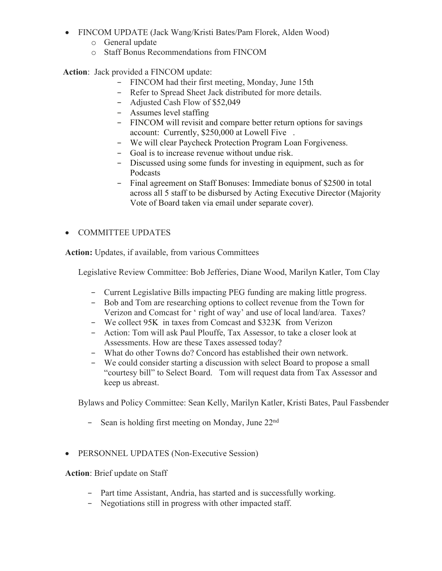- FINCOM UPDATE (Jack Wang/Kristi Bates/Pam Florek, Alden Wood)
	- o General update
	- o Staff Bonus Recommendations from FINCOM

 **Action**: Jack provided a FINCOM update:

- − FINCOM had their first meeting, Monday, June 15th
- − Refer to Spread Sheet Jack distributed for more details.
- − Adjusted Cash Flow of \$52,049
- − Assumes level staffing
- − FINCOM will revisit and compare better return options for savings account: Currently, \$250,000 at Lowell Five .
- − We will clear Paycheck Protection Program Loan Forgiveness.
- − Goal is to increase revenue without undue risk.
- − Discussed using some funds for investing in equipment, such as for Podcasts
- − Final agreement on Staff Bonuses: Immediate bonus of \$2500 in total across all 5 staff to be disbursed by Acting Executive Director (Majority Vote of Board taken via email under separate cover).

# • COMMITTEE UPDATES

**Action:** Updates, if available, from various Committees

Legislative Review Committee: Bob Jefferies, Diane Wood, Marilyn Katler, Tom Clay

- − Current Legislative Bills impacting PEG funding are making little progress.
- − Bob and Tom are researching options to collect revenue from the Town for Verizon and Comcast for ' right of way' and use of local land/area. Taxes?
- − We collect 95K in taxes from Comcast and \$323K from Verizon
- − Action: Tom will ask Paul Plouffe, Tax Assessor, to take a closer look at Assessments. How are these Taxes assessed today?
- − What do other Towns do? Concord has established their own network.
- − We could consider starting a discussion with select Board to propose a small "courtesy bill" to Select Board. Tom will request data from Tax Assessor and keep us abreast.

Bylaws and Policy Committee: Sean Kelly, Marilyn Katler, Kristi Bates, Paul Fassbender

- − Sean is holding first meeting on Monday, June 22nd
- PERSONNEL UPDATES (Non-Executive Session)

**Action**: Brief update on Staff

- − Part time Assistant, Andria, has started and is successfully working.
- − Negotiations still in progress with other impacted staff.